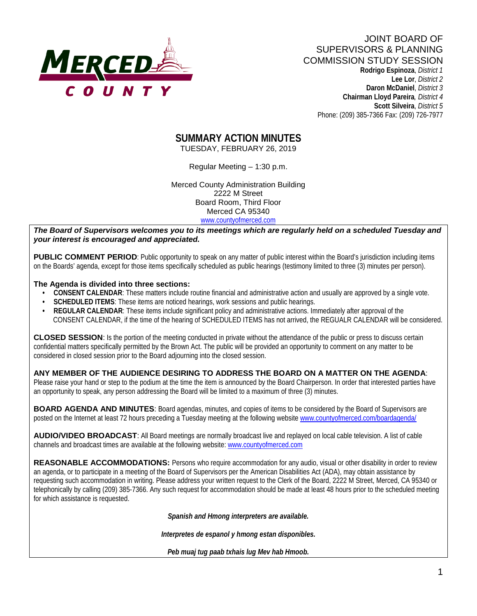

 **Lee Lor**, *District 2*  **Daron McDaniel**, *District 3* **Chairman Lloyd Pareira***, District 4*  **Scott Silveira**, *District 5* Phone: (209) 385-7366 Fax: (209) 726-7977

## **SUMMARY ACTION MINUTES**

TUESDAY, FEBRUARY 26, 2019

Regular Meeting – 1:30 p.m.

Merced County Administration Building 2222 M Street Board Room, Third Floor Merced CA 95340 www.countyofmerced.com

*The Board of Supervisors welcomes you to its meetings which are regularly held on a scheduled Tuesday and your interest is encouraged and appreciated.*

**PUBLIC COMMENT PERIOD**: Public opportunity to speak on any matter of public interest within the Board's jurisdiction including items on the Boards' agenda, except for those items specifically scheduled as public hearings (testimony limited to three (3) minutes per person).

#### **The Agenda is divided into three sections:**

- **CONSENT CALENDAR**: These matters include routine financial and administrative action and usually are approved by a single vote.
- **SCHEDULED ITEMS:** These items are noticed hearings, work sessions and public hearings.

an opportunity to speak, any person addressing the Board will be limited to a maximum of three (3) minutes.

 **• REGULAR CALENDAR**: These items include significant policy and administrative actions. Immediately after approval of the CONSENT CALENDAR, if the time of the hearing of SCHEDULED ITEMS has not arrived, the REGUALR CALENDAR will be considered.

**CLOSED SESSION**: Is the portion of the meeting conducted in private without the attendance of the public or press to discuss certain confidential matters specifically permitted by the Brown Act. The public will be provided an opportunity to comment on any matter to be considered in closed session prior to the Board adjourning into the closed session.

**ANY MEMBER OF THE AUDIENCE DESIRING TO ADDRESS THE BOARD ON A MATTER ON THE AGENDA**: Please raise your hand or step to the podium at the time the item is announced by the Board Chairperson. In order that interested parties have

**BOARD AGENDA AND MINUTES:** Board agendas, minutes, and copies of items to be considered by the Board of Supervisors are posted on the Internet at least 72 hours preceding a Tuesday meeting at the following website [www.countyofmerced.com/boardagenda/](http://www.countyofmerced.com/boardagenda/) 

**AUDIO/VIDEO BROADCAST**: All Board meetings are normally broadcast live and replayed on local cable television. A list of cable channels and broadcast times are available at the following website[: www.countyofmerced.com](http://www.countyofmerced.com/)

**REASONABLE ACCOMMODATIONS:** Persons who require accommodation for any audio, visual or other disability in order to review an agenda, or to participate in a meeting of the Board of Supervisors per the American Disabilities Act (ADA), may obtain assistance by requesting such accommodation in writing. Please address your written request to the Clerk of the Board, 2222 M Street, Merced, CA 95340 or telephonically by calling (209) 385-7366. Any such request for accommodation should be made at least 48 hours prior to the scheduled meeting for which assistance is requested.

*Spanish and Hmong interpreters are available.*

*Interpretes de espanol y hmong estan disponibles.*

*Peb muaj tug paab txhais lug Mev hab Hmoob.*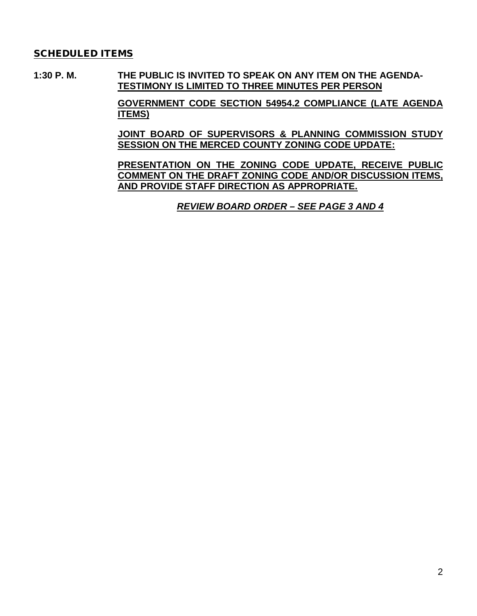#### SCHEDULED ITEMS

**1:30 P. M. THE PUBLIC IS INVITED TO SPEAK ON ANY ITEM ON THE AGENDA-TESTIMONY IS LIMITED TO THREE MINUTES PER PERSON**

> **GOVERNMENT CODE SECTION 54954.2 COMPLIANCE (LATE AGENDA ITEMS)**

> **JOINT BOARD OF SUPERVISORS & PLANNING COMMISSION STUDY SESSION ON THE MERCED COUNTY ZONING CODE UPDATE:**

> **PRESENTATION ON THE ZONING CODE UPDATE, RECEIVE PUBLIC COMMENT ON THE DRAFT ZONING CODE AND/OR DISCUSSION ITEMS, AND PROVIDE STAFF DIRECTION AS APPROPRIATE.**

> > *REVIEW BOARD ORDER – SEE PAGE 3 AND 4*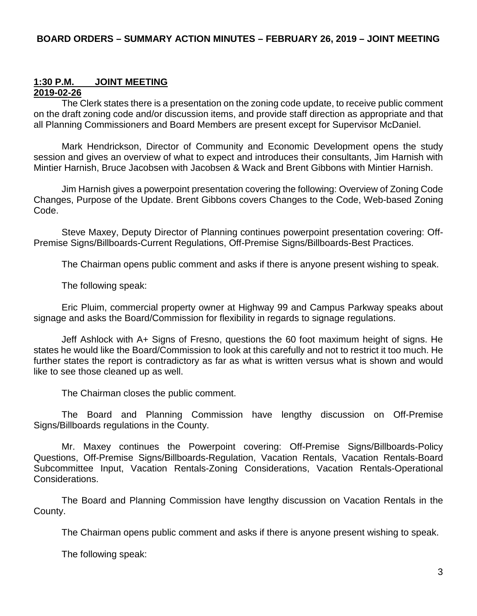# **1:30 P.M. JOINT MEETING**

### **2019-02-26**

The Clerk states there is a presentation on the zoning code update, to receive public comment on the draft zoning code and/or discussion items, and provide staff direction as appropriate and that all Planning Commissioners and Board Members are present except for Supervisor McDaniel.

Mark Hendrickson, Director of Community and Economic Development opens the study session and gives an overview of what to expect and introduces their consultants, Jim Harnish with Mintier Harnish, Bruce Jacobsen with Jacobsen & Wack and Brent Gibbons with Mintier Harnish.

Jim Harnish gives a powerpoint presentation covering the following: Overview of Zoning Code Changes, Purpose of the Update. Brent Gibbons covers Changes to the Code, Web-based Zoning Code.

Steve Maxey, Deputy Director of Planning continues powerpoint presentation covering: Off-Premise Signs/Billboards-Current Regulations, Off-Premise Signs/Billboards-Best Practices.

The Chairman opens public comment and asks if there is anyone present wishing to speak.

The following speak:

Eric Pluim, commercial property owner at Highway 99 and Campus Parkway speaks about signage and asks the Board/Commission for flexibility in regards to signage regulations.

Jeff Ashlock with A+ Signs of Fresno, questions the 60 foot maximum height of signs. He states he would like the Board/Commission to look at this carefully and not to restrict it too much. He further states the report is contradictory as far as what is written versus what is shown and would like to see those cleaned up as well.

The Chairman closes the public comment.

The Board and Planning Commission have lengthy discussion on Off-Premise Signs/Billboards regulations in the County.

Mr. Maxey continues the Powerpoint covering: Off-Premise Signs/Billboards-Policy Questions, Off-Premise Signs/Billboards-Regulation, Vacation Rentals, Vacation Rentals-Board Subcommittee Input, Vacation Rentals-Zoning Considerations, Vacation Rentals-Operational Considerations.

The Board and Planning Commission have lengthy discussion on Vacation Rentals in the County.

The Chairman opens public comment and asks if there is anyone present wishing to speak.

The following speak: